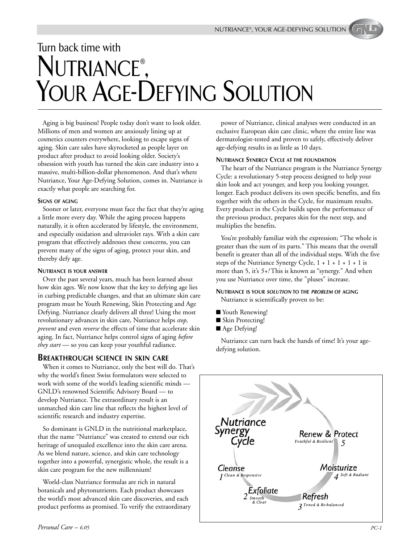# Turn back time with NUTRIANCE®, YOUR AGE-DEFYING SOLUTION

Aging is big business! People today don't want to look older. Millions of men and women are anxiously lining up at cosmetics counters everywhere, looking to escape signs of aging. Skin care sales have skyrocketed as people layer on product after product to avoid looking older. Society's obsession with youth has turned the skin care industry into a massive, multi-billion-dollar phenomenon. And that's where Nutriance, Your Age-Defying Solution, comes in. Nutriance is exactly what people are searching for.

#### **SIGNS OF AGING**

Sooner or later, everyone must face the fact that they're aging a little more every day. While the aging process happens naturally, it is often accelerated by lifestyle, the environment, and especially oxidation and ultraviolet rays. With a skin care program that effectively addresses these concerns, you can prevent many of the signs of aging, protect your skin, and thereby defy age.

#### **NUTRIANCE IS YOUR ANSWER**

Over the past several years, much has been learned about how skin ages. We now know that the key to defying age lies in curbing predictable changes, and that an ultimate skin care program must be Youth Renewing, Skin Protecting and Age Defying. Nutriance clearly delivers all three! Using the most revolutionary advances in skin care, Nutriance helps *stop, prevent* and even *reverse* the effects of time that accelerate skin aging. In fact, Nutriance helps control signs of aging *before they start* — so you can keep your youthful radiance.

#### **BREAKTHROUGH SCIENCE IN SKIN CARE**

When it comes to Nutriance, only the best will do. That's why the world's finest Swiss formulators were selected to work with some of the world's leading scientific minds — GNLD's renowned Scientific Advisory Board — to develop Nutriance. The extraordinary result is an unmatched skin care line that reflects the highest level of scientific research and industry expertise.

So dominant is GNLD in the nutritional marketplace, that the name "Nutriance" was created to extend our rich heritage of unequaled excellence into the skin care arena. As we blend nature, science, and skin care technology together into a powerful, synergistic whole, the result is a skin care program for the new millennium!

World-class Nutriance formulas are rich in natural botanicals and phytonutrients. Each product showcases the world's most advanced skin care discoveries, and each product performs as promised. To verify the extraordinary

power of Nutriance, clinical analyses were conducted in an exclusive European skin care clinic, where the entire line was dermatologist-tested and proven to safely, effectively deliver age-defying results in as little as 10 days.

#### **NUTRIANCE SYNERGY CYCLE AT THE FOUNDATION**

The heart of the Nutriance program is the Nutriance Synergy Cycle: a revolutionary 5-step process designed to help your skin look and act younger, and keep you looking younger, longer. Each product delivers its own specific benefits, and fits together with the others in the Cycle, for maximum results. Every product in the Cycle builds upon the performance of the previous product, prepares skin for the next step, and multiplies the benefits.

You're probably familiar with the expression; "The whole is greater than the sum of its parts." This means that the overall benefit is greater than all of the individual steps. With the five steps of the Nutriance Synergy Cycle, 1 + 1 + 1 + 1 + 1 is more than 5, it's *5+!* This is known as "synergy." And when you use Nutriance over time, the "pluses" increase.

#### **NUTRIANCE IS YOUR** *SOLUTION* **TO THE** *PROBLEM* **OF AGING** Nutriance is scientifically proven to be:

- Youth Renewing!
- Skin Protecting!
- Age Defying!

Nutriance can turn back the hands of time! It's your agedefying solution.

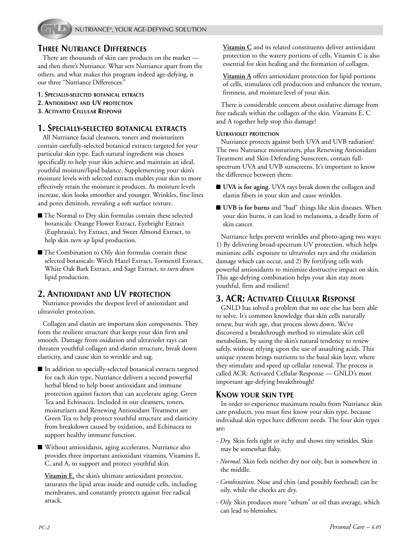

# **THREE NUTRIANCE DIFFERENCES**

There are thousands of skin care products on the market and then there's Nutriance. What sets Nutriance apart from the others, and what makes this program indeed age-defying, is our three "Nutriance Differences:"

- **1. SPECIALLY-SELECTED BOTANICAL EXTRACTS**
- **2. ANTIOXIDANT AND UV PROTECTION**
- **3. ACTIVATED CELLULAR RESPONSE**

## **1. SPECIALLY-SELECTED BOTANICAL EXTRACTS**

All Nutriance facial cleansers, toners and moisturizers contain carefully-selected botanical extracts targeted for your particular skin type. Each natural ingredient was chosen specifically to help your skin achieve and maintain an ideal, youthful moisture/lipid balance. Supplementing your skin's moisture levels with selected extracts enables your skin to more effectively retain the moisture it produces. As moisture levels increase, skin looks smoother and younger. Wrinkles, fine lines and pores diminish, revealing a soft surface texture.

- The Normal to Dry skin formulas contain these selected botanicals: Orange Flower Extract, Eyebright Extract (Euphrasia), Ivy Extract, and Sweet Almond Extract, to help skin *turn up* lipid production.
- The Combination to Oily skin formulas contain these selected botanicals: Witch Hazel Extract, Tormentil Extract, White Oak Bark Extract, and Sage Extract, to *turn down* lipid production.

# **2. ANTIOXIDANT AND UV PROTECTION**

Nutriance provides the deepest level of antioxidant and ultraviolet protection.

Collagen and elastin are important skin components. They form the resilient structure that keeps your skin firm and smooth. Damage from oxidation and ultraviolet rays can threaten youthful collagen and elastin structure, break down elasticity, and cause skin to wrinkle and sag.

- In addition to specially-selected botanical extracts targeted for each skin type, Nutriance delivers a second powerful herbal blend to help boost antioxidant and immune protection against factors that can accelerate aging: Green Tea and Echinacea. Included in our cleansers, toners, moisturizers and Renewing Antioxidant Treatment are Green Tea to help protect youthful structure and elasticity from breakdown caused by oxidation, and Echinacea to support healthy immune function.
- Without antioxidants, aging accelerates. Nutriance also provides three important antioxidant vitamins, Vitamins E, C, and A, to support and protect youthful skin.

**Vitamin E**, the skin's ultimate antioxidant protector, saturates the lipid areas inside and outside cells, including membranes, and constantly protects against free radical attack.

**Vitamin C** and its related constituents deliver antioxidant protection to the watery portions of cells. Vitamin C is also essential for skin healing and the formation of collagen.

**Vitamin A** offers antioxidant protection for lipid portions of cells, stimulates cell production and enhances the texture, firmness, and moisture level of your skin.

There is considerable concern about oxidative damage from free radicals within the collagen of the skin. Vitamins E, C and A together help stop this damage!

#### **ULTRAVIOLET PROTECTION**

Nutriance protects against both UVA and UVB radiation! The two Nutriance moisturizers, plus Renewing Antioxidant Treatment and Skin-Defending Sunscreen, contain fullspectrum UVA and UVB sunscreens. It's important to know the difference between them:

- **UVA** is for aging. UVA rays break down the collagen and elastin fibers in your skin and cause wrinkles.
- **UVB** is for burns and "bad" things like skin diseases. When your skin burns, it can lead to melanoma, a deadly form of skin cancer.

Nutriance helps prevent wrinkles and photo-aging two ways: 1) By delivering broad-spectrum UV protection, which helps minimize cells' exposure to ultraviolet rays and the oxidation damage which can occur, and 2) By fortifying cells with powerful antioxidants to minimize destructive impact on skin. This age-defying combination helps your skin stay more youthful, firm and resilient!

# **3. ACR: ACTIVATED CELLULAR RESPONSE**

GNLD has solved a problem that no one else has been able to solve. It's common knowledge that skin cells naturally renew, but with age, that process slows down. We've discovered a breakthrough method to stimulate skin cell metabolism, by using the skin's natural tendency to renew safely, without relying upon the use of assaulting acids. This unique system brings nutrients to the basal skin layer, where they stimulate and speed up cellular renewal. The process is called ACR: Activated Cellular Response — GNLD's most important age-defying breakthrough!

#### **KNOW YOUR SKIN TYPE**

In order to experience maximum results from Nutriance skin care products, you must first know your skin type, because individual skin types have different needs. The four skin types are:

- *Dry.* Skin feels tight or itchy and shows tiny wrinkles. Skin may be somewhat flaky.
- *Normal.* Skin feels neither dry nor oily, but is somewhere in the middle.
- *Combination.* Nose and chin (and possibly forehead) can be oily, while the cheeks are dry.
- *Oily.* Skin produces more "sebum" or oil than average, which can lead to blemishes.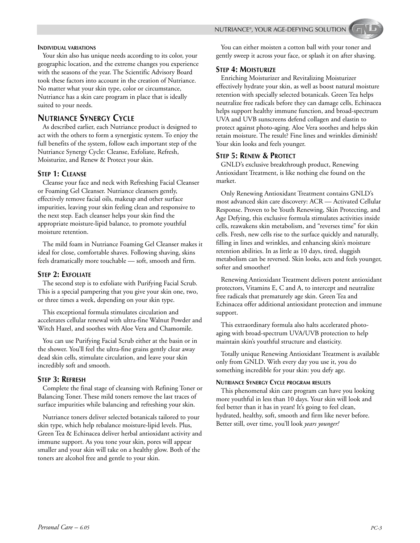NUTRIANCE®, YOUR AGE-DEFYING SOLUTION

#### **INDIVIDUAL VARIATIONS**

Your skin also has unique needs according to its color, your geographic location, and the extreme changes you experience with the seasons of the year. The Scientific Advisory Board took these factors into account in the creation of Nutriance. No matter what your skin type, color or circumstance, Nutriance has a skin care program in place that is ideally suited to your needs.

# **NUTRIANCE SYNERGY CYCLE**

As described earlier, each Nutriance product is designed to act with the others to form a synergistic system. To enjoy the full benefits of the system, follow each important step of the Nutriance Synergy Cycle: Cleanse, Exfoliate, Refresh, Moisturize, and Renew & Protect your skin.

#### **STEP 1: CLEANSE**

Cleanse your face and neck with Refreshing Facial Cleanser or Foaming Gel Cleanser. Nutriance cleansers gently, effectively remove facial oils, makeup and other surface impurities, leaving your skin feeling clean and responsive to the next step. Each cleanser helps your skin find the appropriate moisture-lipid balance, to promote youthful moisture retention.

The mild foam in Nutriance Foaming Gel Cleanser makes it ideal for close, comfortable shaves. Following shaving, skins feels dramatically more touchable — soft, smooth and firm.

#### **STEP 2: EXFOLIATE**

The second step is to exfoliate with Purifying Facial Scrub. This is a special pampering that you give your skin one, two, or three times a week, depending on your skin type.

This exceptional formula stimulates circulation and accelerates cellular renewal with ultra-fine Walnut Powder and Witch Hazel, and soothes with Aloe Vera and Chamomile.

You can use Purifying Facial Scrub either at the basin or in the shower. You'll feel the ultra-fine grains gently clear away dead skin cells, stimulate circulation, and leave your skin incredibly soft and smooth.

#### **STEP 3: REFRESH**

Complete the final stage of cleansing with Refining Toner or Balancing Toner. These mild toners remove the last traces of surface impurities while balancing and refreshing your skin.

Nutriance toners deliver selected botanicals tailored to your skin type, which help rebalance moisture-lipid levels. Plus, Green Tea & Echinacea deliver herbal antioxidant activity and immune support. As you tone your skin, pores will appear smaller and your skin will take on a healthy glow. Both of the toners are alcohol free and gentle to your skin.

You can either moisten a cotton ball with your toner and gently sweep it across your face, or splash it on after shaving.

#### **STEP 4: MOISTURIZE**

Enriching Moisturizer and Revitalizing Moisturizer effectively hydrate your skin, as well as boost natural moisture retention with specially selected botanicals. Green Tea helps neutralize free radicals before they can damage cells, Echinacea helps support healthy immune function, and broad-spectrum UVA and UVB sunscreens defend collagen and elastin to protect against photo-aging. Aloe Vera soothes and helps skin retain moisture. The result? Fine lines and wrinkles diminish! Your skin looks and feels younger.

#### **STEP 5: RENEW & PROTECT**

GNLD's exclusive breakthrough product, Renewing Antioxidant Treatment, is like nothing else found on the market.

Only Renewing Antioxidant Treatment contains GNLD's most advanced skin care discovery: ACR — Activated Cellular Response. Proven to be Youth Renewing, Skin Protecting, and Age Defying, this exclusive formula stimulates activities inside cells, reawakens skin metabolism, and "reverses time" for skin cells. Fresh, new cells rise to the surface quickly and naturally, filling in lines and wrinkles, and enhancing skin's moisture retention abilities. In as little as 10 days, tired, sluggish metabolism can be reversed. Skin looks, acts and feels younger, softer and smoother!

Renewing Antioxidant Treatment delivers potent antioxidant protectors, Vitamins E, C and A, to intercept and neutralize free radicals that prematurely age skin. Green Tea and Echinacea offer additional antioxidant protection and immune support.

This extraordinary formula also halts accelerated photoaging with broad-spectrum UVA/UVB protection to help maintain skin's youthful structure and elasticity.

Totally unique Renewing Antioxidant Treatment is available only from GNLD. With every day you use it, you do something incredible for your skin: you defy age.

#### **NUTRIANCE SYNERGY CYCLE PROGRAM RESULTS**

This phenomenal skin care program can have you looking more youthful in less than 10 days. Your skin will look and feel better than it has in years! It's going to feel clean, hydrated, healthy, soft, smooth and firm like never before. Better still, over time, you'll look *years younger!*